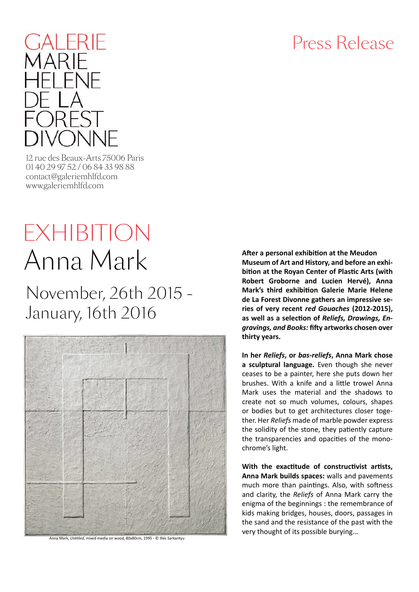## Press Release



12 rue des Beaux-Arts 75006 Paris 01 40 29 97 52 / 06 84 33 98 88 contact@galeriemhlfd.com www.galeriemhlfd.com

# Anna Mark EXHIBITION

## November, 26th 2015 - January, 16th 2016



Anna Mark, *Untitled*, mixed media on wood, 80x80cm, 1995 - © Illés Sarkantyu

**After a personal exhibition at the Meudon Museum of Art and History, and before an exhibition at the Royan Center of Plastic Arts (with Robert Groborne and Lucien Hervé), Anna Mark's third exhibition Galerie Marie Helene de La Forest Divonne gathers an impressive series of very recent** *red Gouaches* **(2012-2015), as well as a selection of** *Reliefs, Drawings, Engravings, and Books:* **fifty artworks chosen over thirty years.** 

**In her** *Reliefs***, or** *bas-reliefs***, Anna Mark chose a sculptural language.** Even though she never ceases to be a painter, here she puts down her brushes. With a knife and a little trowel Anna Mark uses the material and the shadows to create not so much volumes, colours, shapes or bodies but to get architectures closer together. Her *Reliefs* made of marble powder express the solidity of the stone, they patiently capture the transparencies and opacities of the monochrome's light.

**With the exactitude of constructivist artists, Anna Mark builds spaces:** walls and pavements much more than paintings. Also, with softness and clarity, the *Reliefs* of Anna Mark carry the enigma of the beginnings : the remembrance of kids making bridges, houses, doors, passages in the sand and the resistance of the past with the very thought of its possible burying…